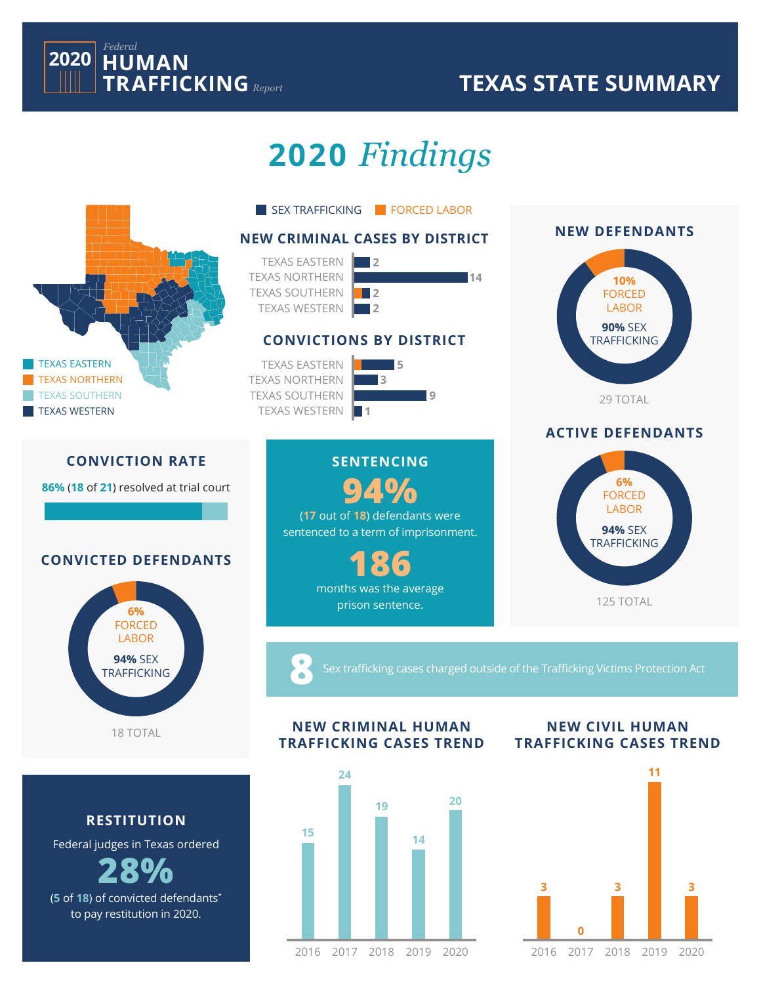

## **TEXAS STATE SUMMARY**

2017 2018 2019 2020 2016

**0**

# **2020** *Findings*



2017 2018 2019 2020 2016

(**5** of **18**) of convicted defendants\* to pay restitution in 2020.